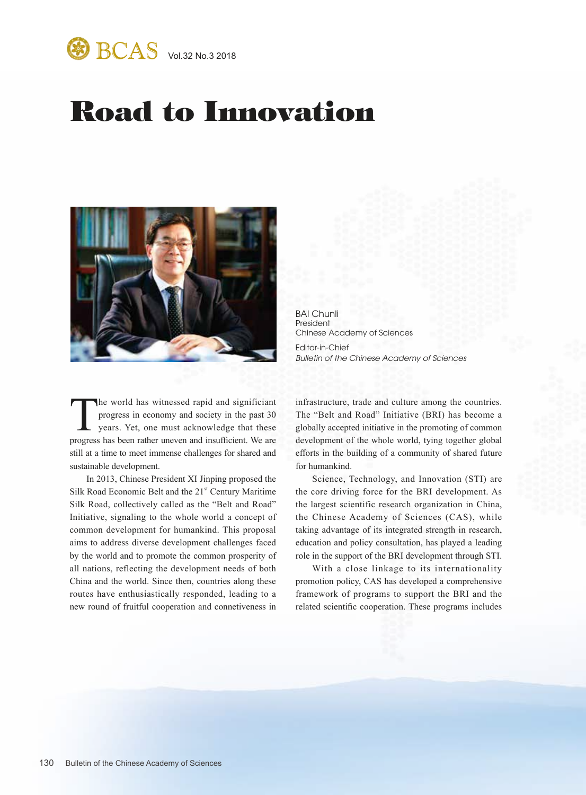

## Road to Innovation



BAI Chunli President Chinese Academy of Sciences Editor-in-Chief *Bulletin of the Chinese Academy of Sciences*

The world has witnessed rapid and significiant<br>progress in economy and society in the past 30<br>years. Yet, one must acknowledge that these<br>progress has been rather uneven and insufficient. We are progress in economy and society in the past 30 years. Yet, one must acknowledge that these progress has been rather uneven and insufficient. We are still at a time to meet immense challenges for shared and sustainable development.

In 2013, Chinese President XI Jinping proposed the Silk Road Economic Belt and the  $21<sup>st</sup>$  Century Maritime Silk Road, collectively called as the "Belt and Road" Initiative, signaling to the whole world a concept of common development for humankind. This proposal aims to address diverse development challenges faced by the world and to promote the common prosperity of all nations, reflecting the development needs of both China and the world. Since then, countries along these routes have enthusiastically responded, leading to a new round of fruitful cooperation and connetiveness in

infrastructure, trade and culture among the countries. The "Belt and Road" Initiative (BRI) has become a globally accepted initiative in the promoting of common development of the whole world, tying together global efforts in the building of a community of shared future for humankind.

Science, Technology, and Innovation (STI) are the core driving force for the BRI development. As the largest scientific research organization in China, the Chinese Academy of Sciences (CAS), while taking advantage of its integrated strength in research, education and policy consultation, has played a leading role in the support of the BRI development through STI.

With a close linkage to its internationality promotion policy, CAS has developed a comprehensive framework of programs to support the BRI and the related scientific cooperation. These programs includes